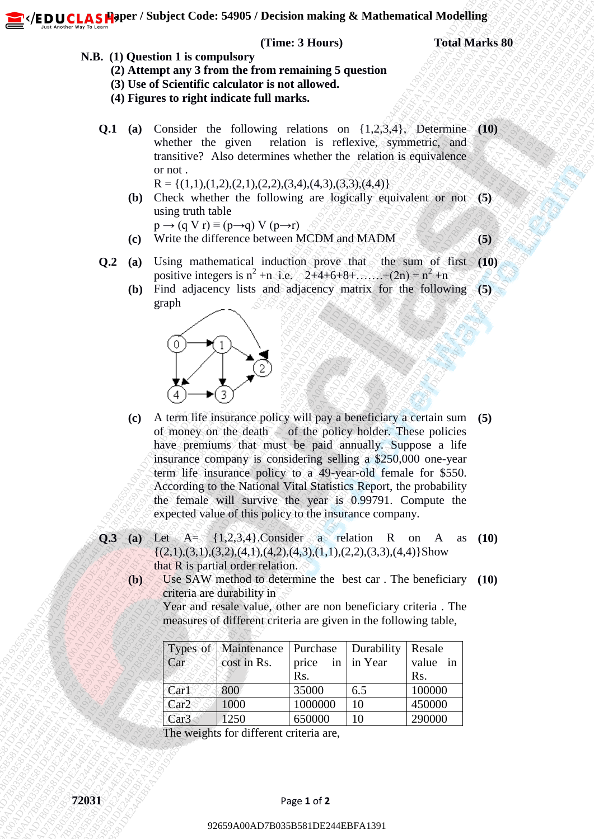**PUCLAS Faper / Subject Code: 54905 / Decision making & Mathematical Modelling** 

## **(Time: 3 Hours)** Total Marks 80

- **N.B. (1) Question 1 is compulsory**
	- **(2) Attempt any 3 from the from remaining 5 question**
	- **(3) Use of Scientific calculator is not allowed.**
	- **(4) Figures to right indicate full marks.**
	- **Q.1 (a)** Consider the following relations on {1,2,3,4}, Determine **(10)** whether the given relation is reflexive, symmetric, and transitive? Also determines whether the relation is equivalence or not .

 $R = \{(1,1),(1,2),(2,1),(2,2),(3,4),(4,3),(3,3),(4,4)\}$ 

**(b)** Check whether the following are logically equivalent or not **(5)** using truth table

 $p \rightarrow (q \text{ V } r) \equiv (p \rightarrow q) \text{ V } (p \rightarrow r)$ **(c)** Write the difference between MCDM and MADM **(5)**

- **Q.2** (a) Using mathematical induction prove that the sum of first (10) positive integers is  $n^2 + n$  i.e.  $2+4+6+8+...+ (2n) = n^2 + n$ 
	- **(b)** Find adjacency lists and adjacency matrix for the following **(5)** graph



- **N.B.** (1) Question 1 is compulsory<br>
(2) Adventure of From the Free From terms in Space in Algoritation (3)<br>
(3) Adventure of European Castillars and the first state of European Castillars and the Castillars and the Casti **N.B.** (A) Question 1.15 compalarity "Times 3 Housey 1<br>
(2) Alternative and the method contributions for the method contribution of the method contribution of the method contribution of the method contribution of the meth **12.5287**<br> **ABR (13) Question and Secondarium controlling Equations**<br> **(3) A the or Newton the include the matrix equations**<br> **(3) Pigmest for the include the matrix equations on (1.2.3.4). Designation (1.8) Consider the EXECUTE:** 1938 AD7B035 AD7B035 AD7B035 AD7B035 AD7B035 AD7B035 AD7B035 AD7B035 AD7B035 AD7B035 AD7B035 AD7B035 AD7B035 AD7B035 AD7B035 AD7B035 AD7B035 AD7B035 AD7B035 AD7B035 AD7B035 AD7B035 AD7B035 AD7B035 AD7B035 AD7B0 **FE DUCLAS Fromer Sweet Confer States Concer States Concer States Concerned To The Mathematic States of the Concernent Concernent Concernent Concernent Concernent Concernent Concernent Concernent Concernent Concernent Con P. ED UCLAS Above:** Soulte Code: 54008 7 Decision making & Mathematical Modelling<br>
N.B. (D) Antenna tax y From the recommendial spanishing<br>
(B) The of Neumbert columnisms<br>
(B) The of Neumbert columnisms<br>
(Q.1 in Consider **EXAMPLE CAST ADVET COMES FAPORE CONTROLL THE CONTROLL THE CONTROLL THE CONTROLL THE CONTROLL THE CONTROLL THE CONTROLL THE CONTROLL THE CONTROLL THE CONTROLL THE CONTROLL THE CONTROLL THE CONTROLL THE CONTROLL THE CONTRO 22** (**EDUCLASS from Contes 54908** > Decision making & unestion Times 1 Direction Contes (The all Contes the following tens in the state of the contes in the state of the contes in the state of the contes in the contes of **22** *(R.D.U.C.A.S. Finores Conter States Characterized Markon and the States Characterized Markon Face States Characterized Markon Face States Characterized Markon Face States Characterized Markon Face States Characteriz* **22** *(R.D.U.C.A.S. Finores Conter States Characterized Markon and the States Characterized Markon Face States Characterized Markon Face States Characterized Markon Face States Characterized Markon Face States Characteriz* **22** *(R.D.U.C.A.S. Finores Conter States Characterized Markon and the States Characterized Markon Face States Characterized Markon Face States Characterized Markon Face States Characterized Markon Face States Characteriz* **22** *(R.D.U.C.A.S. Finores Conter States Characterized Markon and the States Characterized Markon Face States Characterized Markon Face States Characterized Markon Face States Characterized Markon Face States Characteriz* **22.** (**P.D.U.C.A.5 floores:** Solution Content of Thuse 3 Hartmannial Modelling S. (**A.2)** (**A.2)** (**A.2)** (**A.2)** (**A.2)** (**A.2)** (**A.2)** (**A.2)** (**A.2)** (**A.2)** (**A.2)** (**A.2)** (**A.2)** (**A.4)** (**A.4)** (**A.4)** (**A.4)** ( **22**. **(Ex.)** (1) Original Code: 549085 / Decision making & Mathematical Modelling<br>
N.B. (1) Original 1 for earn when the different container in equation<br>
(d) Let us describe container in equation in realizative pointing. **22**(EED CLASS Hopers Youligies Coder: S4003 Obverine maxima sk Mathematical Modelling<br>
N.B. (11) Quasident Calculation for meaning structure<br>
(B) the of Schiffelin Calculation for an internet<br>
(B) The Schiffelin Calculat **22** (**EDUCAS Hower Notion Compulsor** Transaction 2 Notion and Transaction 2 Total Market 88<br>
(**B)** Concerns and the model of the model of the model of the model of the model of the model of the model of the model of the **22** (**E. 13** (1) Constant 1) computes of the statistic computer of the statistic computer of the computer of the computer of the computer of the computer of the computer of the computer of the computer of the computer of **22** (**ED.U.C.A.6.5PHPre** / Similard Contes 54988 / Thereion and the Similard Solution of the Similard Solution Contes (**B)** (**B)** (**B)** (**B)** (**B)** (**B)** (**B)** (**B)** (**B)** (**B)** (**B)** (**B)** (**B)** (**B)** (**B)** (**B)** (**B) 22**(**EDUCASFA**)Prov.) Sobject Code: S4908 Change (The 3 Theory) Trank Marks 81<br>
AB. (1) Question 1 is computed with the marks are considered and the marks are considered and the marks of the marks of the station of the s **22** (**C D.U.C.A.S. Andrew The Computation Transfer of Markov The Computation Techniques Constraints of Computation Computation Computation Computation Computation Computation Computation Computation Computation Computati (c)** A term life insurance policy will pay a beneficiary a certain sum **(5)** of money on the death of the policy holder. These policies have premiums that must be paid annually. Suppose a life insurance company is considering selling a \$250,000 one-year term life insurance policy to a 49-year-old female for \$550. According to the National Vital Statistics Report, the probability the female will survive the year is 0.99791. Compute the expected value of this policy to the insurance company.
	- **Q.3** (a) Let  $A = \{1,2,3,4\}$ . Consider a relation R on A  $\{(2,1),(3,1),(3,2),(4,1),(4,2),(4,3),(1,1),(2,2),(3,3),(4,4)\}\text{Show}$ that R is partial order relation. **(10)**
		- **(b)** Use SAW method to determine the best car . The beneficiary **(10)** criteria are durability in

Year and resale value, other are non beneficiary criteria . The measures of different criteria are given in the following table,

| Car              | Types of   Maintenance   Purchase   Durability<br>$\triangle$ cost in Rs. | price in $\vert$ in Year  |     | Resale<br>value in |
|------------------|---------------------------------------------------------------------------|---------------------------|-----|--------------------|
| Car1             | 800                                                                       | R <sub>s</sub> .<br>35000 | 6.5 | Rs.<br>100000      |
| Car2             | 1000                                                                      | 1000000                   | 10  | 450000             |
| Car <sub>3</sub> | 1250                                                                      | 650000                    | 10  | 290000             |

The weights for different criteria are,